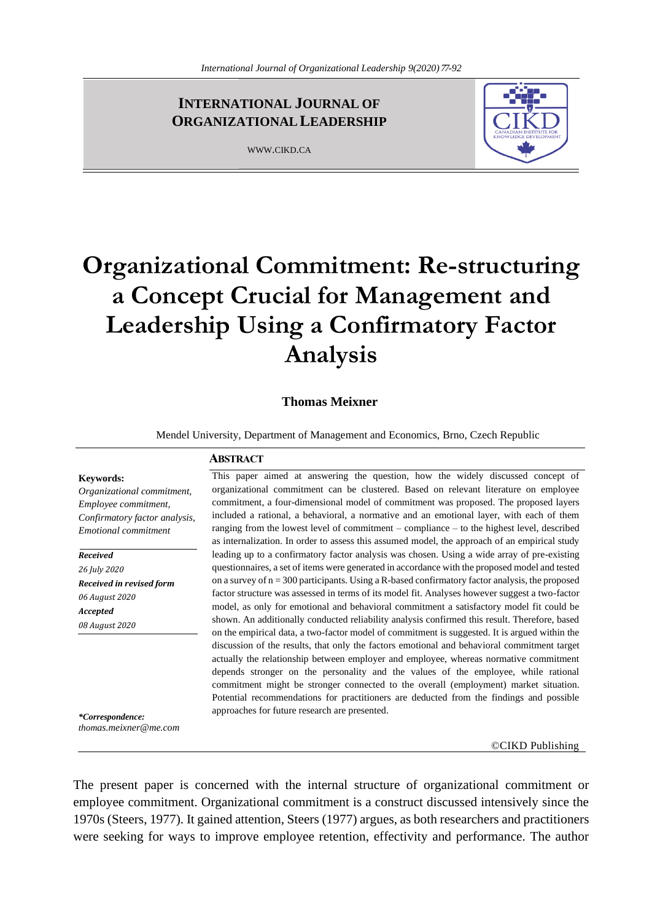# **INTERNATIONAL JOURNAL OF ORGANIZATIONALLEADERSHIP**

WWW.CIKD.CA

**ABSTRACT**



# **Organizational Commitment: Re-structuring a Concept Crucial for Management and Leadership Using a Confirmatory Factor Analysis**

# **Thomas Meixner**

Mendel University, Department of Management and Economics, Brno, Czech Republic

# **Keywords:**

*Organizational commitment, Employee commitment, Confirmatory factor analysis, Emotional commitment*

*Received 26 July 2020 Received in revised form 06 August 2020 Accepted 08 August 2020*

commitment, a four-dimensional model of commitment was proposed. The proposed layers included a rational, a behavioral, a normative and an emotional layer, with each of them ranging from the lowest level of commitment – compliance – to the highest level, described as internalization. In order to assess this assumed model, the approach of an empirical study leading up to a confirmatory factor analysis was chosen. Using a wide array of pre-existing questionnaires, a set of items were generated in accordance with the proposed model and tested on a survey of  $n = 300$  participants. Using a R-based confirmatory factor analysis, the proposed factor structure was assessed in terms of its model fit. Analyses however suggest a two-factor model, as only for emotional and behavioral commitment a satisfactory model fit could be shown. An additionally conducted reliability analysis confirmed this result. Therefore, based on the empirical data, a two-factor model of commitment is suggested. It is argued within the discussion of the results, that only the factors emotional and behavioral commitment target actually the relationship between employer and employee, whereas normative commitment depends stronger on the personality and the values of the employee, while rational commitment might be stronger connected to the overall (employment) market situation. Potential recommendations for practitioners are deducted from the findings and possible approaches for future research are presented.

This paper aimed at answering the question, how the widely discussed concept of organizational commitment can be clustered. Based on relevant literature on employee

*\*Correspondence: thomas.meixner@me.com*

©CIKD Publishing

The present paper is concerned with the internal structure of organizational commitment or employee commitment. Organizational commitment is a construct discussed intensively since the 1970s (Steers, 1977). It gained attention, Steers (1977) argues, as both researchers and practitioners were seeking for ways to improve employee retention, effectivity and performance. The author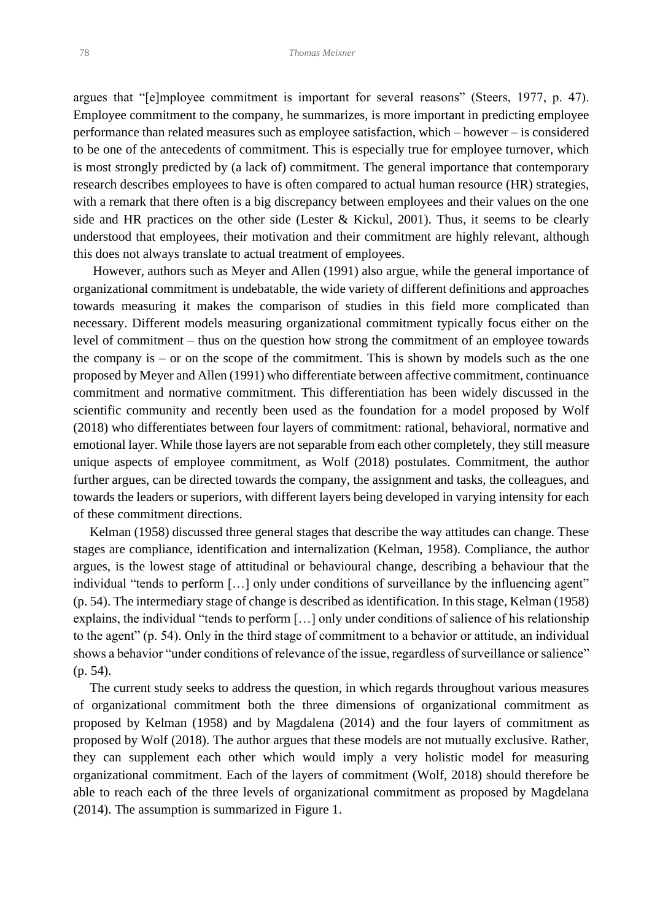argues that "[e]mployee commitment is important for several reasons" (Steers, 1977, p. 47). Employee commitment to the company, he summarizes, is more important in predicting employee performance than related measures such as employee satisfaction, which – however – is considered to be one of the antecedents of commitment. This is especially true for employee turnover, which is most strongly predicted by (a lack of) commitment. The general importance that contemporary research describes employees to have is often compared to actual human resource (HR) strategies, with a remark that there often is a big discrepancy between employees and their values on the one side and HR practices on the other side (Lester & Kickul, 2001). Thus, it seems to be clearly understood that employees, their motivation and their commitment are highly relevant, although this does not always translate to actual treatment of employees.

 However, authors such as Meyer and Allen (1991) also argue, while the general importance of organizational commitment is undebatable, the wide variety of different definitions and approaches towards measuring it makes the comparison of studies in this field more complicated than necessary. Different models measuring organizational commitment typically focus either on the level of commitment – thus on the question how strong the commitment of an employee towards the company is – or on the scope of the commitment. This is shown by models such as the one proposed by Meyer and Allen (1991) who differentiate between affective commitment, continuance commitment and normative commitment. This differentiation has been widely discussed in the scientific community and recently been used as the foundation for a model proposed by Wolf (2018) who differentiates between four layers of commitment: rational, behavioral, normative and emotional layer. While those layers are not separable from each other completely, they still measure unique aspects of employee commitment, as Wolf (2018) postulates. Commitment, the author further argues, can be directed towards the company, the assignment and tasks, the colleagues, and towards the leaders or superiors, with different layers being developed in varying intensity for each of these commitment directions.

 Kelman (1958) discussed three general stages that describe the way attitudes can change. These stages are compliance, identification and internalization (Kelman, 1958). Compliance, the author argues, is the lowest stage of attitudinal or behavioural change, describing a behaviour that the individual "tends to perform […] only under conditions of surveillance by the influencing agent" (p. 54). The intermediary stage of change is described as identification. In this stage, Kelman (1958) explains, the individual "tends to perform […] only under conditions of salience of his relationship to the agent" (p. 54). Only in the third stage of commitment to a behavior or attitude, an individual shows a behavior "under conditions of relevance of the issue, regardless of surveillance or salience" (p. 54).

 The current study seeks to address the question, in which regards throughout various measures of organizational commitment both the three dimensions of organizational commitment as proposed by Kelman (1958) and by Magdalena (2014) and the four layers of commitment as proposed by Wolf (2018). The author argues that these models are not mutually exclusive. Rather, they can supplement each other which would imply a very holistic model for measuring organizational commitment. Each of the layers of commitment (Wolf, 2018) should therefore be able to reach each of the three levels of organizational commitment as proposed by Magdelana (2014). The assumption is summarized in Figure 1.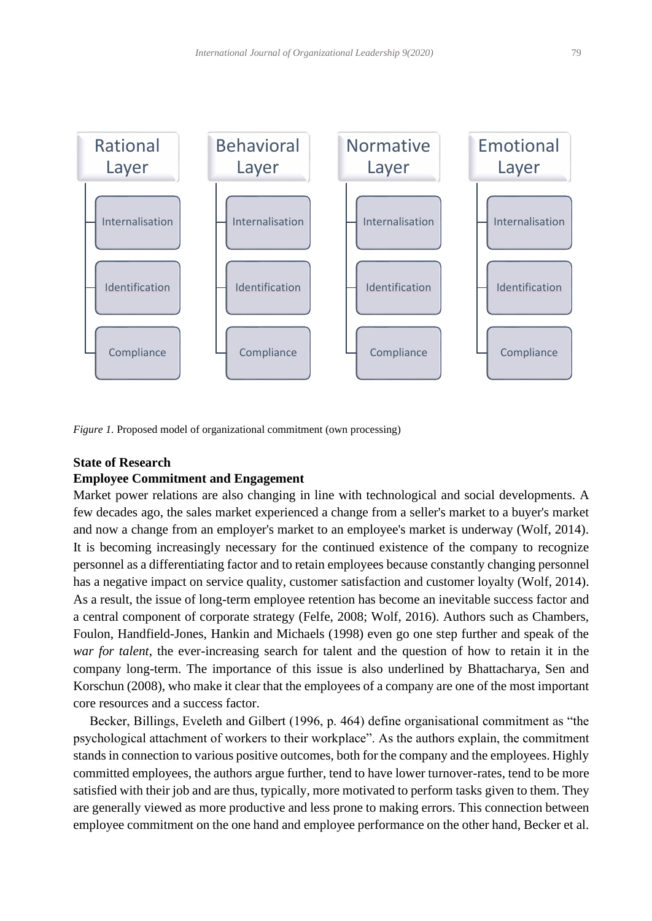

*Figure 1.* Proposed model of organizational commitment (own processing)

# **State of Research**

# **Employee Commitment and Engagement**

Market power relations are also changing in line with technological and social developments. A few decades ago, the sales market experienced a change from a seller's market to a buyer's market and now a change from an employer's market to an employee's market is underway (Wolf, 2014). It is becoming increasingly necessary for the continued existence of the company to recognize personnel as a differentiating factor and to retain employees because constantly changing personnel has a negative impact on service quality, customer satisfaction and customer loyalty (Wolf, 2014). As a result, the issue of long-term employee retention has become an inevitable success factor and a central component of corporate strategy (Felfe, 2008; Wolf, 2016). Authors such as Chambers, Foulon, Handfield-Jones, Hankin and Michaels (1998) even go one step further and speak of the *war for talent*, the ever-increasing search for talent and the question of how to retain it in the company long-term. The importance of this issue is also underlined by Bhattacharya, Sen and Korschun (2008), who make it clear that the employees of a company are one of the most important core resources and a success factor.

 Becker, Billings, Eveleth and Gilbert (1996, p. 464) define organisational commitment as "the psychological attachment of workers to their workplace". As the authors explain, the commitment stands in connection to various positive outcomes, both for the company and the employees. Highly committed employees, the authors argue further, tend to have lower turnover-rates, tend to be more satisfied with their job and are thus, typically, more motivated to perform tasks given to them. They are generally viewed as more productive and less prone to making errors. This connection between employee commitment on the one hand and employee performance on the other hand, Becker et al.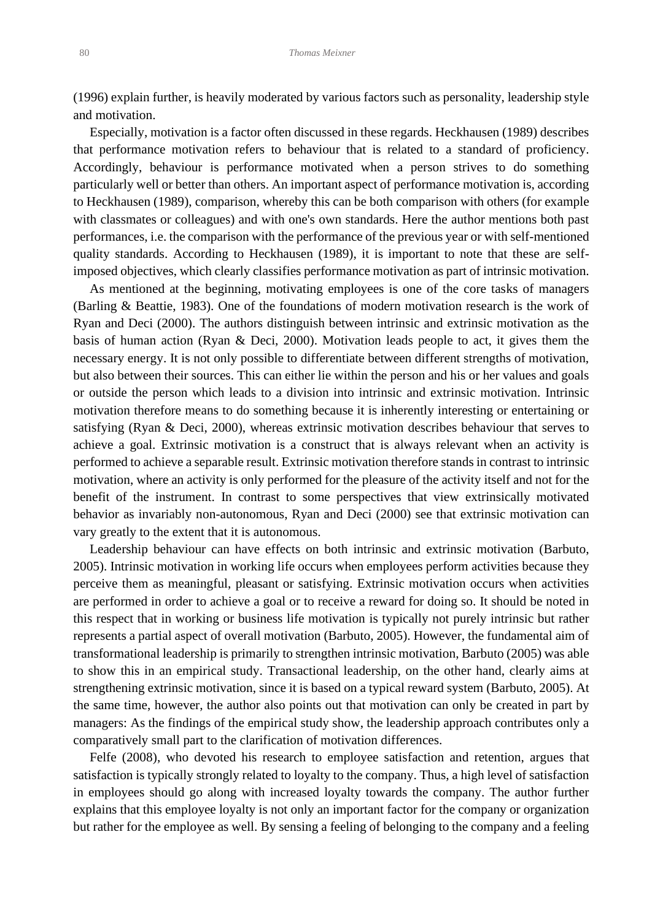(1996) explain further, is heavily moderated by various factors such as personality, leadership style and motivation.

 Especially, motivation is a factor often discussed in these regards. Heckhausen (1989) describes that performance motivation refers to behaviour that is related to a standard of proficiency. Accordingly, behaviour is performance motivated when a person strives to do something particularly well or better than others. An important aspect of performance motivation is, according to Heckhausen (1989), comparison, whereby this can be both comparison with others (for example with classmates or colleagues) and with one's own standards. Here the author mentions both past performances, i.e. the comparison with the performance of the previous year or with self-mentioned quality standards. According to Heckhausen (1989), it is important to note that these are selfimposed objectives, which clearly classifies performance motivation as part of intrinsic motivation.

 As mentioned at the beginning, motivating employees is one of the core tasks of managers (Barling & Beattie, 1983). One of the foundations of modern motivation research is the work of Ryan and Deci (2000). The authors distinguish between intrinsic and extrinsic motivation as the basis of human action (Ryan & Deci, 2000). Motivation leads people to act, it gives them the necessary energy. It is not only possible to differentiate between different strengths of motivation, but also between their sources. This can either lie within the person and his or her values and goals or outside the person which leads to a division into intrinsic and extrinsic motivation. Intrinsic motivation therefore means to do something because it is inherently interesting or entertaining or satisfying (Ryan & Deci, 2000), whereas extrinsic motivation describes behaviour that serves to achieve a goal. Extrinsic motivation is a construct that is always relevant when an activity is performed to achieve a separable result. Extrinsic motivation therefore stands in contrast to intrinsic motivation, where an activity is only performed for the pleasure of the activity itself and not for the benefit of the instrument. In contrast to some perspectives that view extrinsically motivated behavior as invariably non-autonomous, Ryan and Deci (2000) see that extrinsic motivation can vary greatly to the extent that it is autonomous.

 Leadership behaviour can have effects on both intrinsic and extrinsic motivation (Barbuto, 2005). Intrinsic motivation in working life occurs when employees perform activities because they perceive them as meaningful, pleasant or satisfying. Extrinsic motivation occurs when activities are performed in order to achieve a goal or to receive a reward for doing so. It should be noted in this respect that in working or business life motivation is typically not purely intrinsic but rather represents a partial aspect of overall motivation (Barbuto, 2005). However, the fundamental aim of transformational leadership is primarily to strengthen intrinsic motivation, Barbuto (2005) was able to show this in an empirical study. Transactional leadership, on the other hand, clearly aims at strengthening extrinsic motivation, since it is based on a typical reward system (Barbuto, 2005). At the same time, however, the author also points out that motivation can only be created in part by managers: As the findings of the empirical study show, the leadership approach contributes only a comparatively small part to the clarification of motivation differences.

 Felfe (2008), who devoted his research to employee satisfaction and retention, argues that satisfaction is typically strongly related to loyalty to the company. Thus, a high level of satisfaction in employees should go along with increased loyalty towards the company. The author further explains that this employee loyalty is not only an important factor for the company or organization but rather for the employee as well. By sensing a feeling of belonging to the company and a feeling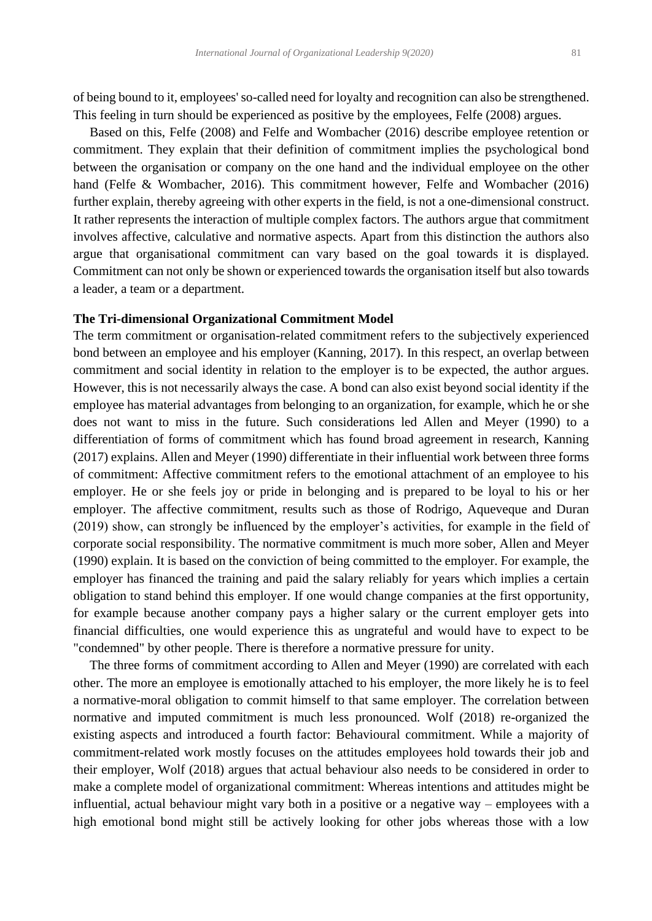of being bound to it, employees' so-called need for loyalty and recognition can also be strengthened. This feeling in turn should be experienced as positive by the employees, Felfe (2008) argues.

 Based on this, Felfe (2008) and Felfe and Wombacher (2016) describe employee retention or commitment. They explain that their definition of commitment implies the psychological bond between the organisation or company on the one hand and the individual employee on the other hand (Felfe & Wombacher, 2016). This commitment however, Felfe and Wombacher (2016) further explain, thereby agreeing with other experts in the field, is not a one-dimensional construct. It rather represents the interaction of multiple complex factors. The authors argue that commitment involves affective, calculative and normative aspects. Apart from this distinction the authors also argue that organisational commitment can vary based on the goal towards it is displayed. Commitment can not only be shown or experienced towards the organisation itself but also towards a leader, a team or a department.

# **The Tri-dimensional Organizational Commitment Model**

The term commitment or organisation-related commitment refers to the subjectively experienced bond between an employee and his employer (Kanning, 2017). In this respect, an overlap between commitment and social identity in relation to the employer is to be expected, the author argues. However, this is not necessarily always the case. A bond can also exist beyond social identity if the employee has material advantages from belonging to an organization, for example, which he or she does not want to miss in the future. Such considerations led Allen and Meyer (1990) to a differentiation of forms of commitment which has found broad agreement in research, Kanning (2017) explains. Allen and Meyer (1990) differentiate in their influential work between three forms of commitment: Affective commitment refers to the emotional attachment of an employee to his employer. He or she feels joy or pride in belonging and is prepared to be loyal to his or her employer. The affective commitment, results such as those of Rodrigo, Aqueveque and Duran (2019) show, can strongly be influenced by the employer's activities, for example in the field of corporate social responsibility. The normative commitment is much more sober, Allen and Meyer (1990) explain. It is based on the conviction of being committed to the employer. For example, the employer has financed the training and paid the salary reliably for years which implies a certain obligation to stand behind this employer. If one would change companies at the first opportunity, for example because another company pays a higher salary or the current employer gets into financial difficulties, one would experience this as ungrateful and would have to expect to be "condemned" by other people. There is therefore a normative pressure for unity.

 The three forms of commitment according to Allen and Meyer (1990) are correlated with each other. The more an employee is emotionally attached to his employer, the more likely he is to feel a normative-moral obligation to commit himself to that same employer. The correlation between normative and imputed commitment is much less pronounced. Wolf (2018) re-organized the existing aspects and introduced a fourth factor: Behavioural commitment. While a majority of commitment-related work mostly focuses on the attitudes employees hold towards their job and their employer, Wolf (2018) argues that actual behaviour also needs to be considered in order to make a complete model of organizational commitment: Whereas intentions and attitudes might be influential, actual behaviour might vary both in a positive or a negative way – employees with a high emotional bond might still be actively looking for other jobs whereas those with a low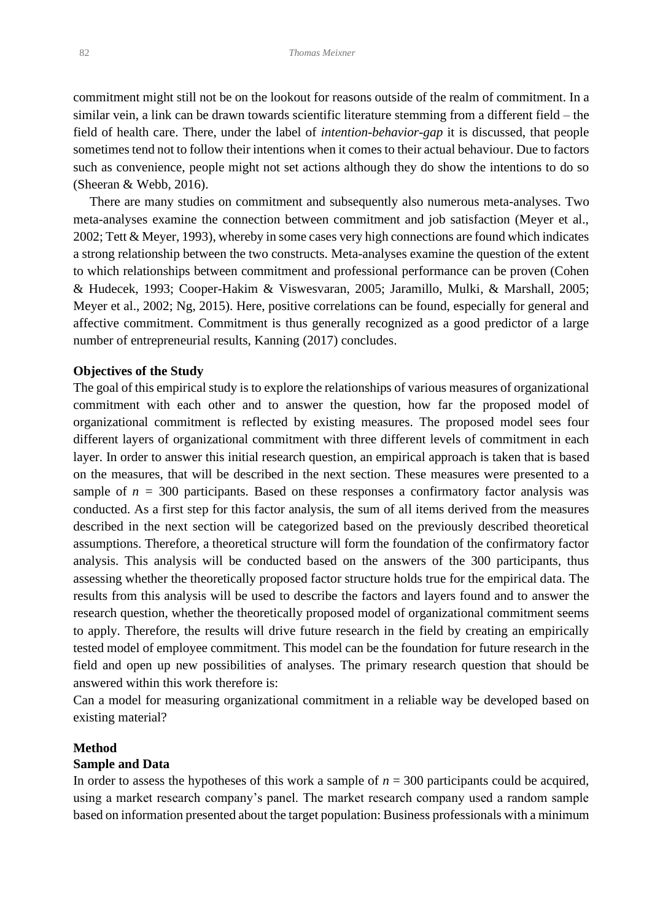commitment might still not be on the lookout for reasons outside of the realm of commitment. In a similar vein, a link can be drawn towards scientific literature stemming from a different field – the field of health care. There, under the label of *intention-behavior-gap* it is discussed, that people sometimes tend not to follow their intentions when it comes to their actual behaviour. Due to factors such as convenience, people might not set actions although they do show the intentions to do so (Sheeran & Webb, 2016).

 There are many studies on commitment and subsequently also numerous meta-analyses. Two meta-analyses examine the connection between commitment and job satisfaction (Meyer et al., 2002; Tett & Meyer, 1993), whereby in some cases very high connections are found which indicates a strong relationship between the two constructs. Meta-analyses examine the question of the extent to which relationships between commitment and professional performance can be proven (Cohen & Hudecek, 1993; Cooper-Hakim & Viswesvaran, 2005; Jaramillo, Mulki, & Marshall, 2005; Meyer et al., 2002; Ng, 2015). Here, positive correlations can be found, especially for general and affective commitment. Commitment is thus generally recognized as a good predictor of a large number of entrepreneurial results, Kanning (2017) concludes.

### **Objectives of the Study**

The goal of this empirical study is to explore the relationships of various measures of organizational commitment with each other and to answer the question, how far the proposed model of organizational commitment is reflected by existing measures. The proposed model sees four different layers of organizational commitment with three different levels of commitment in each layer. In order to answer this initial research question, an empirical approach is taken that is based on the measures, that will be described in the next section. These measures were presented to a sample of  $n = 300$  participants. Based on these responses a confirmatory factor analysis was conducted. As a first step for this factor analysis, the sum of all items derived from the measures described in the next section will be categorized based on the previously described theoretical assumptions. Therefore, a theoretical structure will form the foundation of the confirmatory factor analysis. This analysis will be conducted based on the answers of the 300 participants, thus assessing whether the theoretically proposed factor structure holds true for the empirical data. The results from this analysis will be used to describe the factors and layers found and to answer the research question, whether the theoretically proposed model of organizational commitment seems to apply. Therefore, the results will drive future research in the field by creating an empirically tested model of employee commitment. This model can be the foundation for future research in the field and open up new possibilities of analyses. The primary research question that should be answered within this work therefore is:

Can a model for measuring organizational commitment in a reliable way be developed based on existing material?

# **Method**

# **Sample and Data**

In order to assess the hypotheses of this work a sample of  $n = 300$  participants could be acquired, using a market research company's panel. The market research company used a random sample based on information presented about the target population: Business professionals with a minimum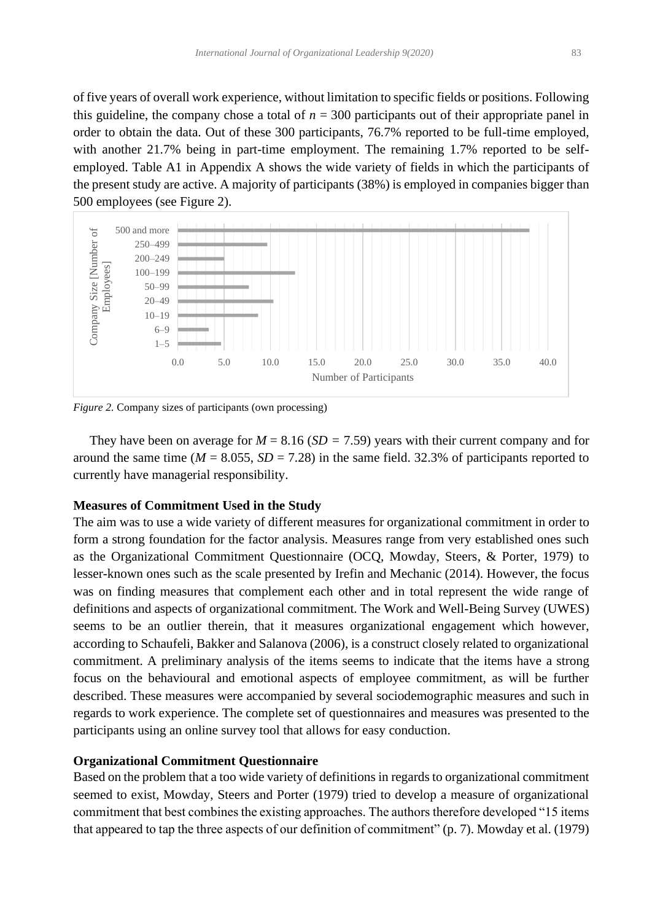of five years of overall work experience, without limitation to specific fields or positions. Following this guideline, the company chose a total of  $n = 300$  participants out of their appropriate panel in order to obtain the data. Out of these 300 participants, 76.7% reported to be full-time employed, with another 21.7% being in part-time employment. The remaining 1.7% reported to be selfemployed. Table A1 in Appendix A shows the wide variety of fields in which the participants of the present study are active. A majority of participants (38%) is employed in companies bigger than 500 employees (see Figure 2).



*Figure 2.* Company sizes of participants (own processing)

They have been on average for  $M = 8.16$  ( $SD = 7.59$ ) years with their current company and for around the same time ( $M = 8.055$ ,  $SD = 7.28$ ) in the same field. 32.3% of participants reported to currently have managerial responsibility.

# **Measures of Commitment Used in the Study**

The aim was to use a wide variety of different measures for organizational commitment in order to form a strong foundation for the factor analysis. Measures range from very established ones such as the Organizational Commitment Questionnaire (OCQ, Mowday, Steers, & Porter, 1979) to lesser-known ones such as the scale presented by Irefin and Mechanic (2014). However, the focus was on finding measures that complement each other and in total represent the wide range of definitions and aspects of organizational commitment. The Work and Well-Being Survey (UWES) seems to be an outlier therein, that it measures organizational engagement which however, according to Schaufeli, Bakker and Salanova (2006), is a construct closely related to organizational commitment. A preliminary analysis of the items seems to indicate that the items have a strong focus on the behavioural and emotional aspects of employee commitment, as will be further described. These measures were accompanied by several sociodemographic measures and such in regards to work experience. The complete set of questionnaires and measures was presented to the participants using an online survey tool that allows for easy conduction.

# **Organizational Commitment Questionnaire**

Based on the problem that a too wide variety of definitions in regards to organizational commitment seemed to exist, Mowday, Steers and Porter (1979) tried to develop a measure of organizational commitment that best combines the existing approaches. The authors therefore developed "15 items that appeared to tap the three aspects of our definition of commitment" (p. 7). Mowday et al. (1979)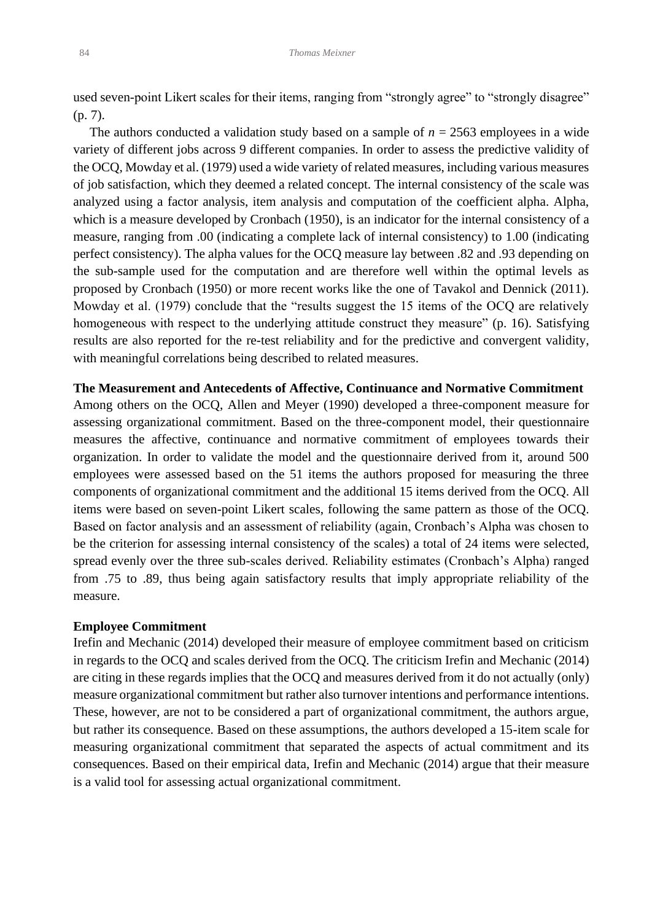used seven-point Likert scales for their items, ranging from "strongly agree" to "strongly disagree" (p. 7).

 The authors conducted a validation study based on a sample of *n* = 2563 employees in a wide variety of different jobs across 9 different companies. In order to assess the predictive validity of the OCQ, Mowday et al. (1979) used a wide variety of related measures, including various measures of job satisfaction, which they deemed a related concept. The internal consistency of the scale was analyzed using a factor analysis, item analysis and computation of the coefficient alpha. Alpha, which is a measure developed by Cronbach (1950), is an indicator for the internal consistency of a measure, ranging from .00 (indicating a complete lack of internal consistency) to 1.00 (indicating perfect consistency). The alpha values for the OCQ measure lay between .82 and .93 depending on the sub-sample used for the computation and are therefore well within the optimal levels as proposed by Cronbach (1950) or more recent works like the one of Tavakol and Dennick (2011). Mowday et al. (1979) conclude that the "results suggest the 15 items of the OCQ are relatively homogeneous with respect to the underlying attitude construct they measure" (p. 16). Satisfying results are also reported for the re-test reliability and for the predictive and convergent validity, with meaningful correlations being described to related measures.

# **The Measurement and Antecedents of Affective, Continuance and Normative Commitment**

Among others on the OCQ, Allen and Meyer (1990) developed a three-component measure for assessing organizational commitment. Based on the three-component model, their questionnaire measures the affective, continuance and normative commitment of employees towards their organization. In order to validate the model and the questionnaire derived from it, around 500 employees were assessed based on the 51 items the authors proposed for measuring the three components of organizational commitment and the additional 15 items derived from the OCQ. All items were based on seven-point Likert scales, following the same pattern as those of the OCQ. Based on factor analysis and an assessment of reliability (again, Cronbach's Alpha was chosen to be the criterion for assessing internal consistency of the scales) a total of 24 items were selected, spread evenly over the three sub-scales derived. Reliability estimates (Cronbach's Alpha) ranged from .75 to .89, thus being again satisfactory results that imply appropriate reliability of the measure.

# **Employee Commitment**

Irefin and Mechanic (2014) developed their measure of employee commitment based on criticism in regards to the OCQ and scales derived from the OCQ. The criticism Irefin and Mechanic (2014) are citing in these regards implies that the OCQ and measures derived from it do not actually (only) measure organizational commitment but rather also turnover intentions and performance intentions. These, however, are not to be considered a part of organizational commitment, the authors argue, but rather its consequence. Based on these assumptions, the authors developed a 15-item scale for measuring organizational commitment that separated the aspects of actual commitment and its consequences. Based on their empirical data, Irefin and Mechanic (2014) argue that their measure is a valid tool for assessing actual organizational commitment.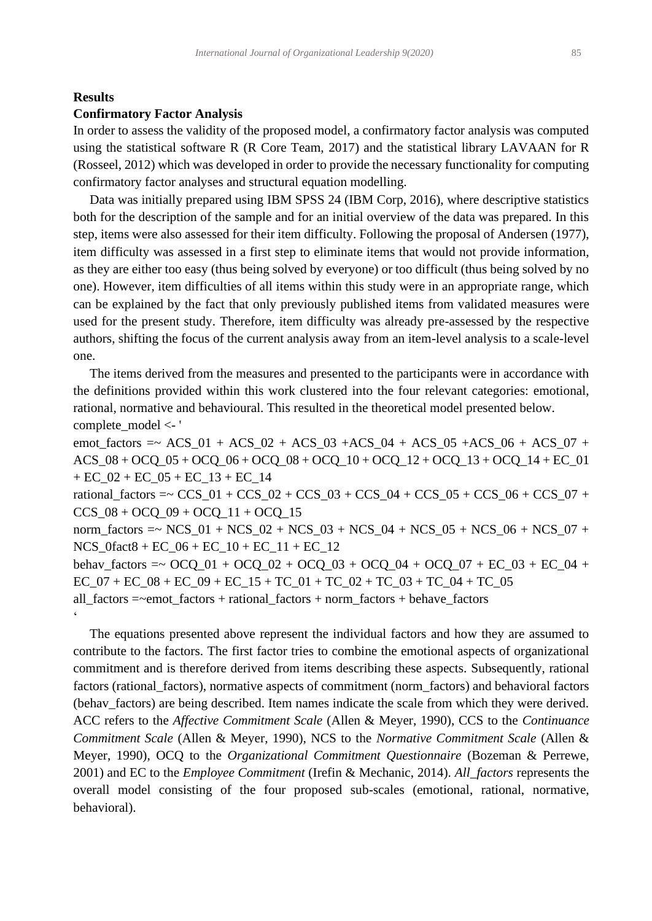# **Results**

# **Confirmatory Factor Analysis**

In order to assess the validity of the proposed model, a confirmatory factor analysis was computed using the statistical software R (R Core Team, 2017) and the statistical library LAVAAN for R (Rosseel, 2012) which was developed in order to provide the necessary functionality for computing confirmatory factor analyses and structural equation modelling.

 Data was initially prepared using IBM SPSS 24 (IBM Corp, 2016), where descriptive statistics both for the description of the sample and for an initial overview of the data was prepared. In this step, items were also assessed for their item difficulty. Following the proposal of Andersen (1977), item difficulty was assessed in a first step to eliminate items that would not provide information, as they are either too easy (thus being solved by everyone) or too difficult (thus being solved by no one). However, item difficulties of all items within this study were in an appropriate range, which can be explained by the fact that only previously published items from validated measures were used for the present study. Therefore, item difficulty was already pre-assessed by the respective authors, shifting the focus of the current analysis away from an item-level analysis to a scale-level one.

 The items derived from the measures and presented to the participants were in accordance with the definitions provided within this work clustered into the four relevant categories: emotional, rational, normative and behavioural. This resulted in the theoretical model presented below. complete\_model <- '

emot\_factors =~  $ACS_01 + ACS_02 + ACS_03 + ACS_04 + ACS_05 + ACS_06 + ACS_07 +$ ACS\_08 + OCQ\_05 + OCQ\_06 + OCQ\_08 + OCQ\_10 + OCQ\_12 + OCQ\_13 + OCQ\_14 + EC\_01 + EC\_02 + EC\_05 + EC\_13 + EC\_14 rational\_factors =  $\text{CCS}_01 + \text{CCS}_02 + \text{CCS}_03 + \text{CCS}_04 + \text{CCS}_05 + \text{CCS}_06 + \text{CCS}_07 +$  $CCS_08 + OCQ_09 + OCQ_11 + OCQ_15$ norm\_factors =~  $NCS_01 + NCS_02 + NCS_03 + NCS_04 + NCS_05 + NCS_06 + NCS_07 +$ NCS\_0fact8 + EC\_06 + EC\_10 + EC\_11 + EC\_12 behav\_factors =  $\sim$  OCQ\_01 + OCQ\_02 + OCQ\_03 + OCQ\_04 + OCQ\_07 + EC\_03 + EC\_04 +  $EC_0$ 7 +  $EC_0$ 8 +  $EC_0$ 9 +  $EC_1$ 5 +  $TC_0$ 1 +  $TC_0$ 2 +  $TC_0$ 3 +  $TC_0$ 4 +  $TC_0$ 5 all\_factors =~emot\_factors + rational\_factors + norm\_factors + behave\_factors  $\ddot{\phantom{0}}$ 

 The equations presented above represent the individual factors and how they are assumed to contribute to the factors. The first factor tries to combine the emotional aspects of organizational commitment and is therefore derived from items describing these aspects. Subsequently, rational factors (rational\_factors), normative aspects of commitment (norm\_factors) and behavioral factors (behav\_factors) are being described. Item names indicate the scale from which they were derived. ACC refers to the *Affective Commitment Scale* (Allen & Meyer, 1990), CCS to the *Continuance Commitment Scale* (Allen & Meyer, 1990), NCS to the *Normative Commitment Scale* (Allen & Meyer, 1990), OCQ to the *Organizational Commitment Questionnaire* (Bozeman & Perrewe, 2001) and EC to the *Employee Commitment* (Irefin & Mechanic, 2014). *All\_factors* represents the overall model consisting of the four proposed sub-scales (emotional, rational, normative, behavioral).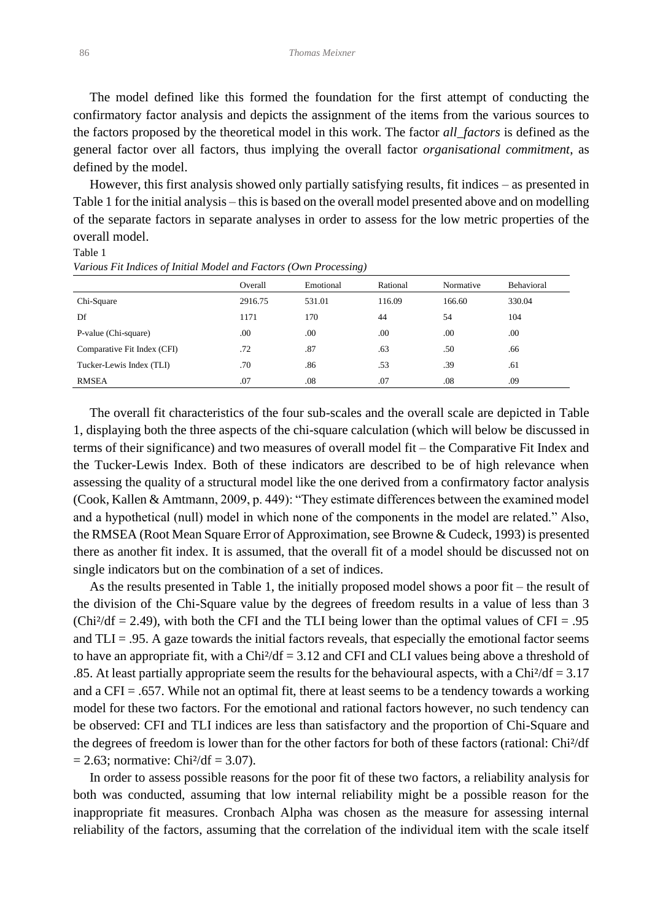The model defined like this formed the foundation for the first attempt of conducting the confirmatory factor analysis and depicts the assignment of the items from the various sources to the factors proposed by the theoretical model in this work. The factor *all\_factors* is defined as the general factor over all factors, thus implying the overall factor *organisational commitment*, as defined by the model.

 However, this first analysis showed only partially satisfying results, fit indices – as presented in Table 1 for the initial analysis – this is based on the overall model presented above and on modelling of the separate factors in separate analyses in order to assess for the low metric properties of the overall model.

#### Table 1

|                             | Overall | Emotional | Rational | Normative | Behavioral |
|-----------------------------|---------|-----------|----------|-----------|------------|
| Chi-Square                  | 2916.75 | 531.01    | 116.09   | 166.60    | 330.04     |
| Df                          | 1171    | 170       | 44       | 54        | 104        |
| P-value (Chi-square)        | .00     | .00       | .00.     | .00       | .00        |
| Comparative Fit Index (CFI) | .72     | .87       | .63      | .50       | .66        |
| Tucker-Lewis Index (TLI)    | .70     | .86       | .53      | .39       | .61        |
| <b>RMSEA</b>                | .07     | .08       | .07      | .08       | .09        |

*Various Fit Indices of Initial Model and Factors (Own Processing)*

 The overall fit characteristics of the four sub-scales and the overall scale are depicted in Table 1, displaying both the three aspects of the chi-square calculation (which will below be discussed in terms of their significance) and two measures of overall model fit – the Comparative Fit Index and the Tucker-Lewis Index. Both of these indicators are described to be of high relevance when assessing the quality of a structural model like the one derived from a confirmatory factor analysis (Cook, Kallen & Amtmann, 2009, p. 449): "They estimate differences between the examined model and a hypothetical (null) model in which none of the components in the model are related." Also, the RMSEA (Root Mean Square Error of Approximation, see Browne & Cudeck, 1993) is presented there as another fit index. It is assumed, that the overall fit of a model should be discussed not on single indicators but on the combination of a set of indices.

 As the results presented in Table 1, the initially proposed model shows a poor fit – the result of the division of the Chi-Square value by the degrees of freedom results in a value of less than 3  $(Chi<sup>2</sup>/df = 2.49)$ , with both the CFI and the TLI being lower than the optimal values of CFI = .95 and  $TLI = .95$ . A gaze towards the initial factors reveals, that especially the emotional factor seems to have an appropriate fit, with a  $Chi/df = 3.12$  and CFI and CLI values being above a threshold of .85. At least partially appropriate seem the results for the behavioural aspects, with a Chi $\frac{2}{d}f = 3.17$ and a CFI = .657. While not an optimal fit, there at least seems to be a tendency towards a working model for these two factors. For the emotional and rational factors however, no such tendency can be observed: CFI and TLI indices are less than satisfactory and the proportion of Chi-Square and the degrees of freedom is lower than for the other factors for both of these factors (rational: Chi²/df  $= 2.63$ ; normative: Chi<sup>2</sup>/df  $= 3.07$ ).

 In order to assess possible reasons for the poor fit of these two factors, a reliability analysis for both was conducted, assuming that low internal reliability might be a possible reason for the inappropriate fit measures. Cronbach Alpha was chosen as the measure for assessing internal reliability of the factors, assuming that the correlation of the individual item with the scale itself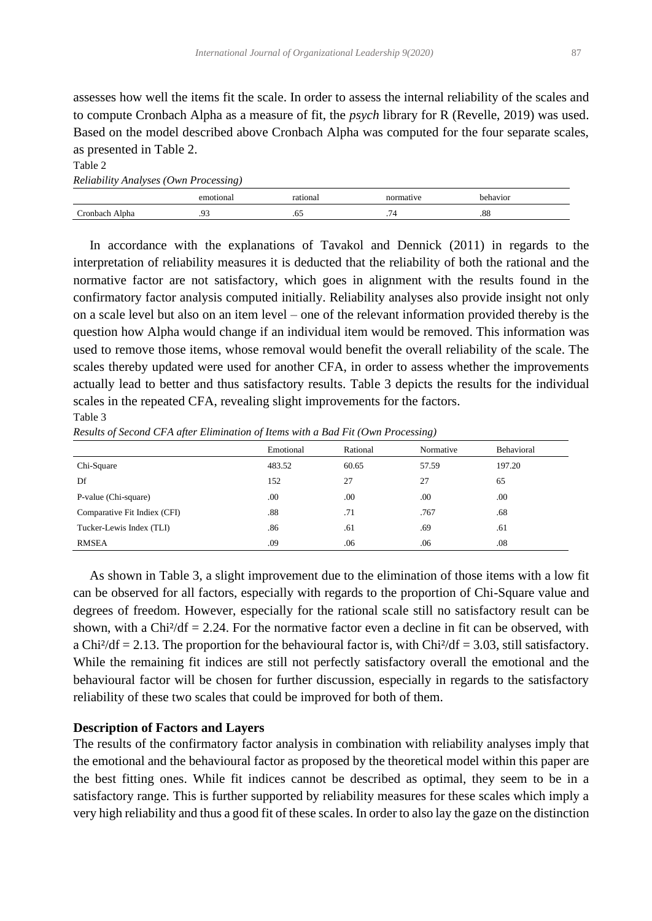assesses how well the items fit the scale. In order to assess the internal reliability of the scales and to compute Cronbach Alpha as a measure of fit, the *psych* library for R (Revelle, 2019) was used. Based on the model described above Cronbach Alpha was computed for the four separate scales, as presented in Table 2.

*Reliability Analyses (Own Processing)* emotional rational rational normative behavior Cronbach Alpha .93 .65 .65 .74 .88

 In accordance with the explanations of Tavakol and Dennick (2011) in regards to the interpretation of reliability measures it is deducted that the reliability of both the rational and the normative factor are not satisfactory, which goes in alignment with the results found in the confirmatory factor analysis computed initially. Reliability analyses also provide insight not only on a scale level but also on an item level – one of the relevant information provided thereby is the question how Alpha would change if an individual item would be removed. This information was used to remove those items, whose removal would benefit the overall reliability of the scale. The scales thereby updated were used for another CFA, in order to assess whether the improvements actually lead to better and thus satisfactory results. Table 3 depicts the results for the individual scales in the repeated CFA, revealing slight improvements for the factors. Table 3

*Results of Second CFA after Elimination of Items with a Bad Fit (Own Processing)*

|                              | Emotional | Rational | Normative | <b>Behavioral</b> |
|------------------------------|-----------|----------|-----------|-------------------|
| Chi-Square                   | 483.52    | 60.65    | 57.59     | 197.20            |
| Df                           | 152       | 27       | 27        | 65                |
| P-value (Chi-square)         | .00       | .00      | .00       | .00               |
| Comparative Fit Indiex (CFI) | .88       | .71      | .767      | .68               |
| Tucker-Lewis Index (TLI)     | .86       | .61      | .69       | .61               |
| <b>RMSEA</b>                 | .09       | .06      | .06       | .08               |

 As shown in Table 3, a slight improvement due to the elimination of those items with a low fit can be observed for all factors, especially with regards to the proportion of Chi-Square value and degrees of freedom. However, especially for the rational scale still no satisfactory result can be shown, with a Chi<sup>2</sup>/df = 2.24. For the normative factor even a decline in fit can be observed, with a Chi<sup>2</sup>/df = 2.13. The proportion for the behavioural factor is, with Chi<sup>2</sup>/df = 3.03, still satisfactory. While the remaining fit indices are still not perfectly satisfactory overall the emotional and the behavioural factor will be chosen for further discussion, especially in regards to the satisfactory reliability of these two scales that could be improved for both of them.

# **Description of Factors and Layers**

Table 2

The results of the confirmatory factor analysis in combination with reliability analyses imply that the emotional and the behavioural factor as proposed by the theoretical model within this paper are the best fitting ones. While fit indices cannot be described as optimal, they seem to be in a satisfactory range. This is further supported by reliability measures for these scales which imply a very high reliability and thus a good fit of these scales. In order to also lay the gaze on the distinction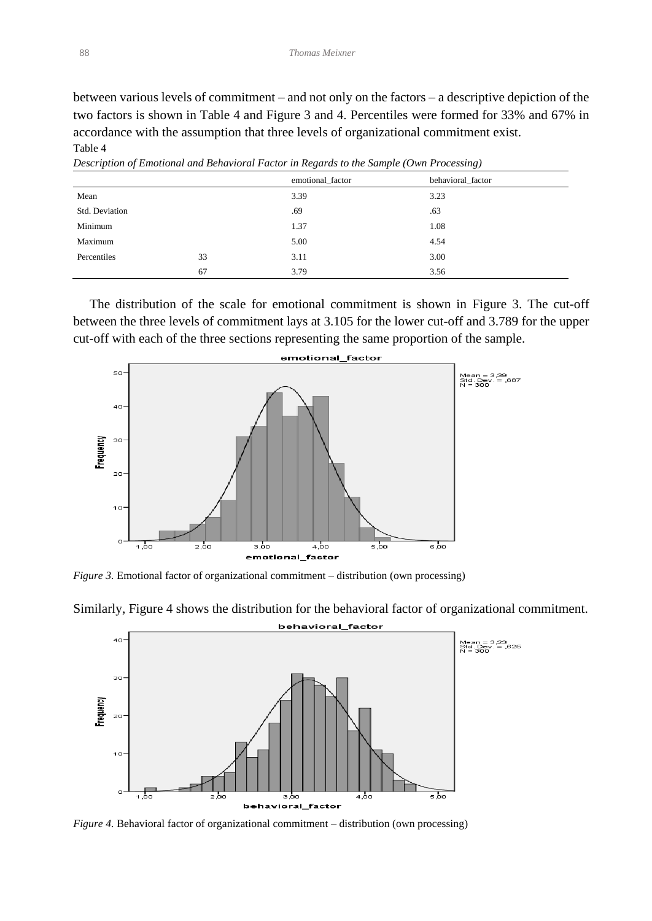between various levels of commitment – and not only on the factors – a descriptive depiction of the two factors is shown in Table 4 and Figure 3 and 4. Percentiles were formed for 33% and 67% in accordance with the assumption that three levels of organizational commitment exist. Table 4

|                |    | emotional factor | behavioral factor |  |
|----------------|----|------------------|-------------------|--|
| Mean           |    | 3.39             | 3.23              |  |
| Std. Deviation |    | .69              | .63               |  |
| Minimum        |    | 1.37             | 1.08              |  |
| Maximum        |    | 5.00             | 4.54              |  |
| Percentiles    | 33 | 3.11             | 3.00              |  |
|                | 67 | 3.79             | 3.56              |  |

*Description of Emotional and Behavioral Factor in Regards to the Sample (Own Processing)*

 The distribution of the scale for emotional commitment is shown in Figure 3. The cut-off between the three levels of commitment lays at 3.105 for the lower cut-off and 3.789 for the upper cut-off with each of the three sections representing the same proportion of the sample.



*Figure 3.* Emotional factor of organizational commitment – distribution (own processing)



Similarly, Figure 4 shows the distribution for the behavioral factor of organizational commitment. behavioral\_factor

*Figure 4.* Behavioral factor of organizational commitment – distribution (own processing)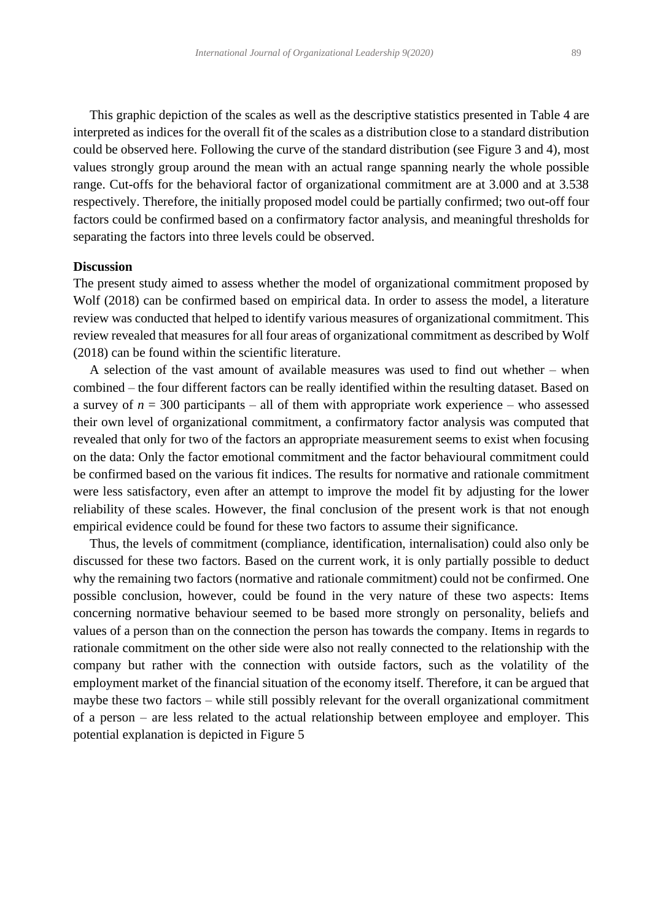This graphic depiction of the scales as well as the descriptive statistics presented in Table 4 are interpreted as indices for the overall fit of the scales as a distribution close to a standard distribution could be observed here. Following the curve of the standard distribution (see Figure 3 and 4), most values strongly group around the mean with an actual range spanning nearly the whole possible range. Cut-offs for the behavioral factor of organizational commitment are at 3.000 and at 3.538 respectively. Therefore, the initially proposed model could be partially confirmed; two out-off four factors could be confirmed based on a confirmatory factor analysis, and meaningful thresholds for separating the factors into three levels could be observed.

#### **Discussion**

The present study aimed to assess whether the model of organizational commitment proposed by Wolf (2018) can be confirmed based on empirical data. In order to assess the model, a literature review was conducted that helped to identify various measures of organizational commitment. This review revealed that measures for all four areas of organizational commitment as described by Wolf (2018) can be found within the scientific literature.

 A selection of the vast amount of available measures was used to find out whether – when combined – the four different factors can be really identified within the resulting dataset. Based on a survey of  $n = 300$  participants – all of them with appropriate work experience – who assessed their own level of organizational commitment, a confirmatory factor analysis was computed that revealed that only for two of the factors an appropriate measurement seems to exist when focusing on the data: Only the factor emotional commitment and the factor behavioural commitment could be confirmed based on the various fit indices. The results for normative and rationale commitment were less satisfactory, even after an attempt to improve the model fit by adjusting for the lower reliability of these scales. However, the final conclusion of the present work is that not enough empirical evidence could be found for these two factors to assume their significance.

 Thus, the levels of commitment (compliance, identification, internalisation) could also only be discussed for these two factors. Based on the current work, it is only partially possible to deduct why the remaining two factors (normative and rationale commitment) could not be confirmed. One possible conclusion, however, could be found in the very nature of these two aspects: Items concerning normative behaviour seemed to be based more strongly on personality, beliefs and values of a person than on the connection the person has towards the company. Items in regards to rationale commitment on the other side were also not really connected to the relationship with the company but rather with the connection with outside factors, such as the volatility of the employment market of the financial situation of the economy itself. Therefore, it can be argued that maybe these two factors – while still possibly relevant for the overall organizational commitment of a person – are less related to the actual relationship between employee and employer. This potential explanation is depicted in Figure 5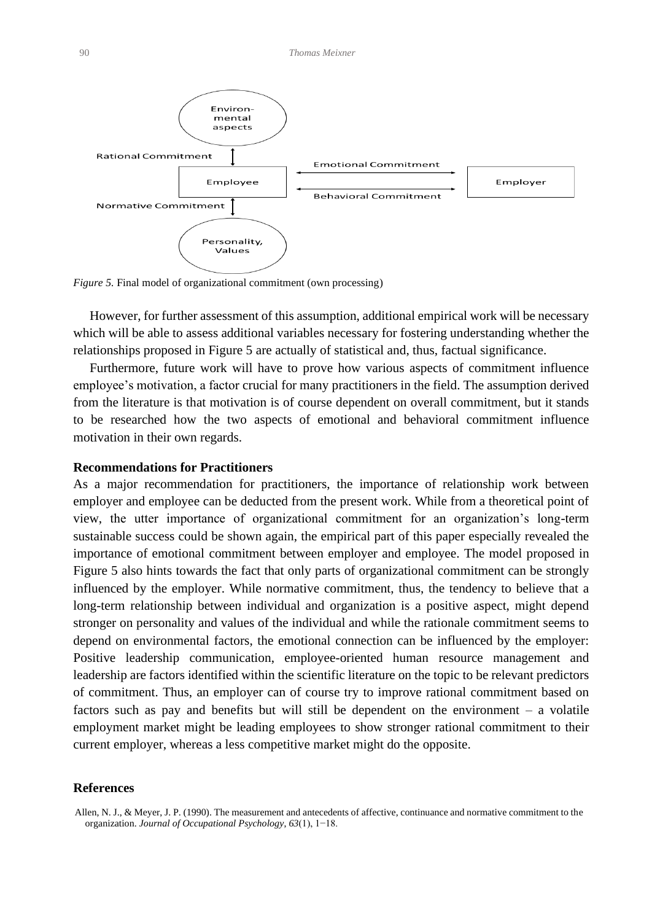

*Figure 5.* Final model of organizational commitment (own processing)

 However, for further assessment of this assumption, additional empirical work will be necessary which will be able to assess additional variables necessary for fostering understanding whether the relationships proposed in Figure 5 are actually of statistical and, thus, factual significance.

 Furthermore, future work will have to prove how various aspects of commitment influence employee's motivation, a factor crucial for many practitioners in the field. The assumption derived from the literature is that motivation is of course dependent on overall commitment, but it stands to be researched how the two aspects of emotional and behavioral commitment influence motivation in their own regards.

## **Recommendations for Practitioners**

As a major recommendation for practitioners, the importance of relationship work between employer and employee can be deducted from the present work. While from a theoretical point of view, the utter importance of organizational commitment for an organization's long-term sustainable success could be shown again, the empirical part of this paper especially revealed the importance of emotional commitment between employer and employee. The model proposed in Figure 5 also hints towards the fact that only parts of organizational commitment can be strongly influenced by the employer. While normative commitment, thus, the tendency to believe that a long-term relationship between individual and organization is a positive aspect, might depend stronger on personality and values of the individual and while the rationale commitment seems to depend on environmental factors, the emotional connection can be influenced by the employer: Positive leadership communication, employee-oriented human resource management and leadership are factors identified within the scientific literature on the topic to be relevant predictors of commitment. Thus, an employer can of course try to improve rational commitment based on factors such as pay and benefits but will still be dependent on the environment – a volatile employment market might be leading employees to show stronger rational commitment to their current employer, whereas a less competitive market might do the opposite.

## **References**

Allen, N. J., & Meyer, J. P. (1990). The measurement and antecedents of affective, continuance and normative commitment to the organization. *Journal of Occupational Psychology*, *63*(1), 1−18.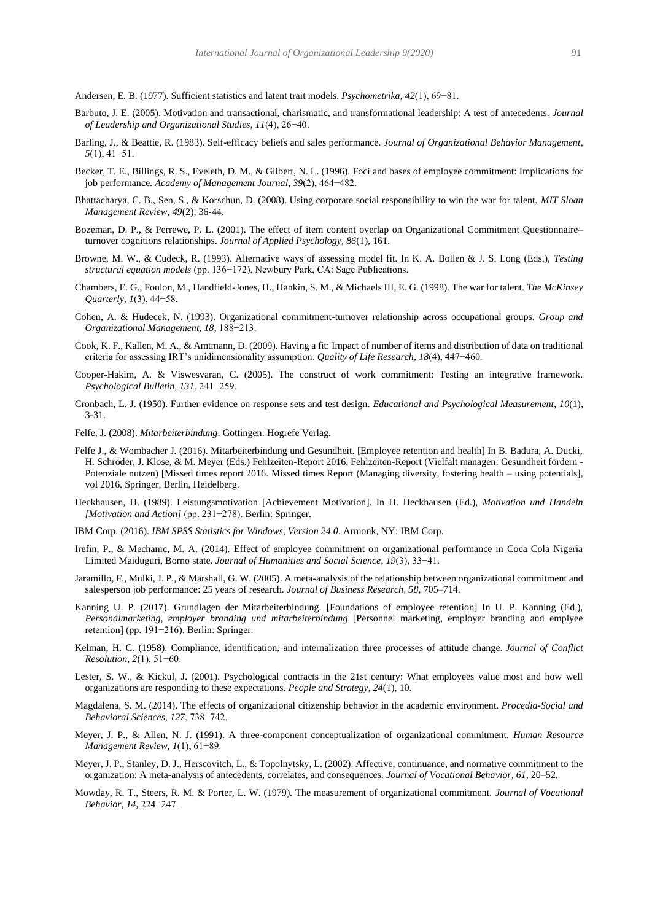Andersen, E. B. (1977). Sufficient statistics and latent trait models. *Psychometrika*, *42*(1), 69−81.

- Barbuto, J. E. (2005). Motivation and transactional, charismatic, and transformational leadership: A test of antecedents. *Journal of Leadership and Organizational Studies*, *11*(4), 26−40.
- Barling, J., & Beattie, R. (1983). Self-efficacy beliefs and sales performance. *Journal of Organizational Behavior Management*, *5*(1), 41−51.
- Becker, T. E., Billings, R. S., Eveleth, D. M., & Gilbert, N. L. (1996). Foci and bases of employee commitment: Implications for job performance. *Academy of Management Journal*, *39*(2), 464−482.
- Bhattacharya, C. B., Sen, S., & Korschun, D. (2008). Using corporate social responsibility to win the war for talent. *MIT Sloan Management Review*, *49*(2), 36-44.
- Bozeman, D. P., & Perrewe, P. L. (2001). The effect of item content overlap on Organizational Commitment Questionnaire– turnover cognitions relationships. *Journal of Applied Psychology*, *86*(1), 161.
- Browne, M. W., & Cudeck, R. (1993). Alternative ways of assessing model fit. In K. A. Bollen & J. S. Long (Eds.), *Testing structural equation models* (pp. 136−172). Newbury Park, CA: Sage Publications.
- Chambers, E. G., Foulon, M., Handfield-Jones, H., Hankin, S. M., & Michaels III, E. G. (1998). The war for talent. *The McKinsey Quarterly*, *1*(3), 44−58.
- Cohen, A. & Hudecek, N. (1993). Organizational commitment-turnover relationship across occupational groups. *Group and Organizational Management, 18*, 188−213.
- Cook, K. F., Kallen, M. A., & Amtmann, D. (2009). Having a fit: Impact of number of items and distribution of data on traditional criteria for assessing IRT's unidimensionality assumption. *Quality of Life Research*, *18*(4), 447−460.
- Cooper-Hakim, A. & Viswesvaran, C. (2005). The construct of work commitment: Testing an integrative framework. *Psychological Bulletin, 131*, 241−259.
- Cronbach, L. J. (1950). Further evidence on response sets and test design. *Educational and Psychological Measurement*, *10*(1), 3-31.
- Felfe, J. (2008). *Mitarbeiterbindung*. Göttingen: Hogrefe Verlag.
- Felfe J., & Wombacher J. (2016). Mitarbeiterbindung und Gesundheit. [Employee retention and health] In B. Badura, A. Ducki, H. Schröder, J. Klose, & M. Meyer (Eds.) Fehlzeiten-Report 2016. Fehlzeiten-Report (Vielfalt managen: Gesundheit fördern - Potenziale nutzen) [Missed times report 2016. Missed times Report (Managing diversity, fostering health – using potentials], vol 2016. Springer, Berlin, Heidelberg.
- Heckhausen, H. (1989). Leistungsmotivation [Achievement Motivation]. In H. Heckhausen (Ed.), *Motivation und Handeln [Motivation and Action]* (pp. 231−278). Berlin: Springer.
- IBM Corp. (2016). *IBM SPSS Statistics for Windows, Version 24.0*. Armonk, NY: IBM Corp.
- Irefin, P., & Mechanic, M. A. (2014). Effect of employee commitment on organizational performance in Coca Cola Nigeria Limited Maiduguri, Borno state. *Journal of Humanities and Social Science*, *19*(3), 33−41.
- Jaramillo, F., Mulki, J. P., & Marshall, G. W. (2005). A meta-analysis of the relationship between organizational commitment and salesperson job performance: 25 years of research. *Journal of Business Research, 58*, 705–714.
- Kanning U. P. (2017). Grundlagen der Mitarbeiterbindung. [Foundations of employee retention] In U. P. Kanning (Ed.), *Personalmarketing, employer branding und mitarbeiterbindung* [Personnel marketing, employer branding and emplyee retention] (pp. 191−216). Berlin: Springer.
- Kelman, H. C. (1958). Compliance, identification, and internalization three processes of attitude change. *Journal of Conflict Resolution*, *2*(1), 51−60.
- Lester, S. W., & Kickul, J. (2001). Psychological contracts in the 21st century: What employees value most and how well organizations are responding to these expectations. *People and Strategy*, *24*(1), 10.
- Magdalena, S. M. (2014). The effects of organizational citizenship behavior in the academic environment. *Procedia-Social and Behavioral Sciences*, *127*, 738−742.
- Meyer, J. P., & Allen, N. J. (1991). A three-component conceptualization of organizational commitment. *Human Resource Management Review*, *1*(1), 61−89.
- Meyer, J. P., Stanley, D. J., Herscovitch, L., & Topolnytsky, L. (2002). Affective, continuance, and normative commitment to the organization: A meta-analysis of antecedents, correlates, and consequences. *Journal of Vocational Behavior, 61*, 20–52.
- Mowday, R. T., Steers, R. M. & Porter, L. W. (1979). The measurement of organizational commitment. *Journal of Vocational Behavior, 14,* 224−247.